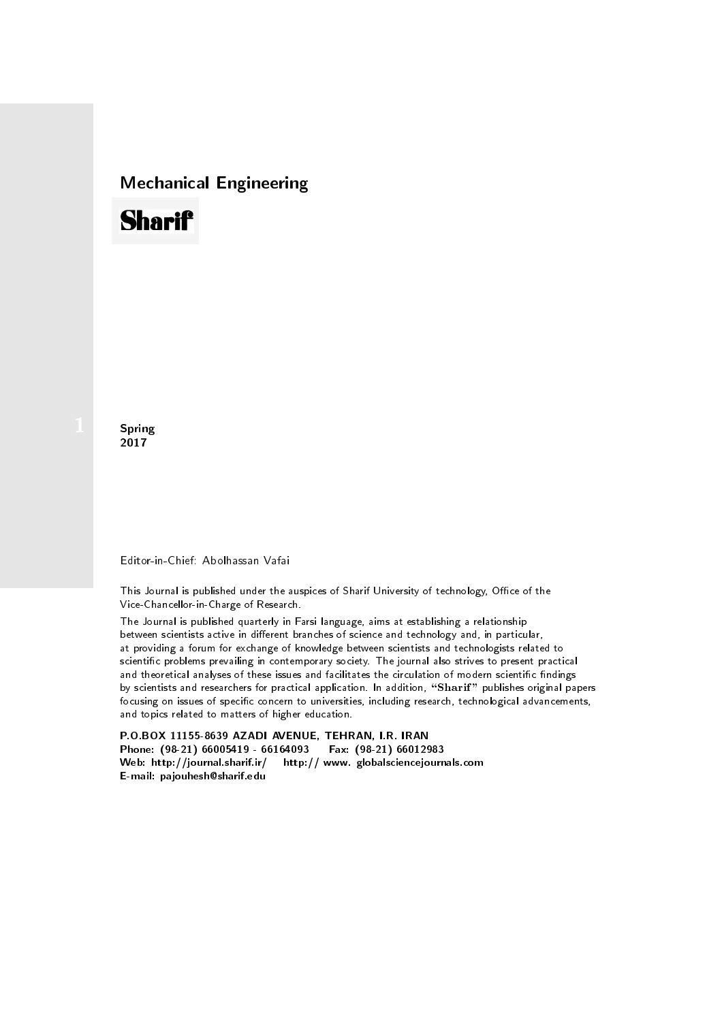## Mechanical Engineering

# **Sharif**

**Spring** 2017

### Editor-in-Chief: Abolhassan Vafai

This Journal is published under the auspices of Sharif University of technology, Office of the Vice-Chancellor-in-Charge of Research.

The Journal is published quarterly in Farsi language, aims at establishing a relationship between scientists active in different branches of science and technology and, in particular, at providing a forum for exchange of knowledge between scientists and technologists related to scientic problems prevailing in contemporary society. The journal also strives to present practical and theoretical analyses of these issues and facilitates the circulation of modern scientific findings by scientists and researchers for practical application. In addition, "Sharif" publishes original papers focusing on issues of specific concern to universities, including research, technological advancements, and topics related to matters of higher education.

P.O.BOX 11155-8639 AZADI AVENUE, TEHRAN, I.R. IRAN Phone: (98-21) 66005419 - 66164093 Fax: (98-21) 66012983 Web: http://journal.sharif.ir/ http:// www. globalsciencejournals.com E-mail: pajouhesh@sharif.edu